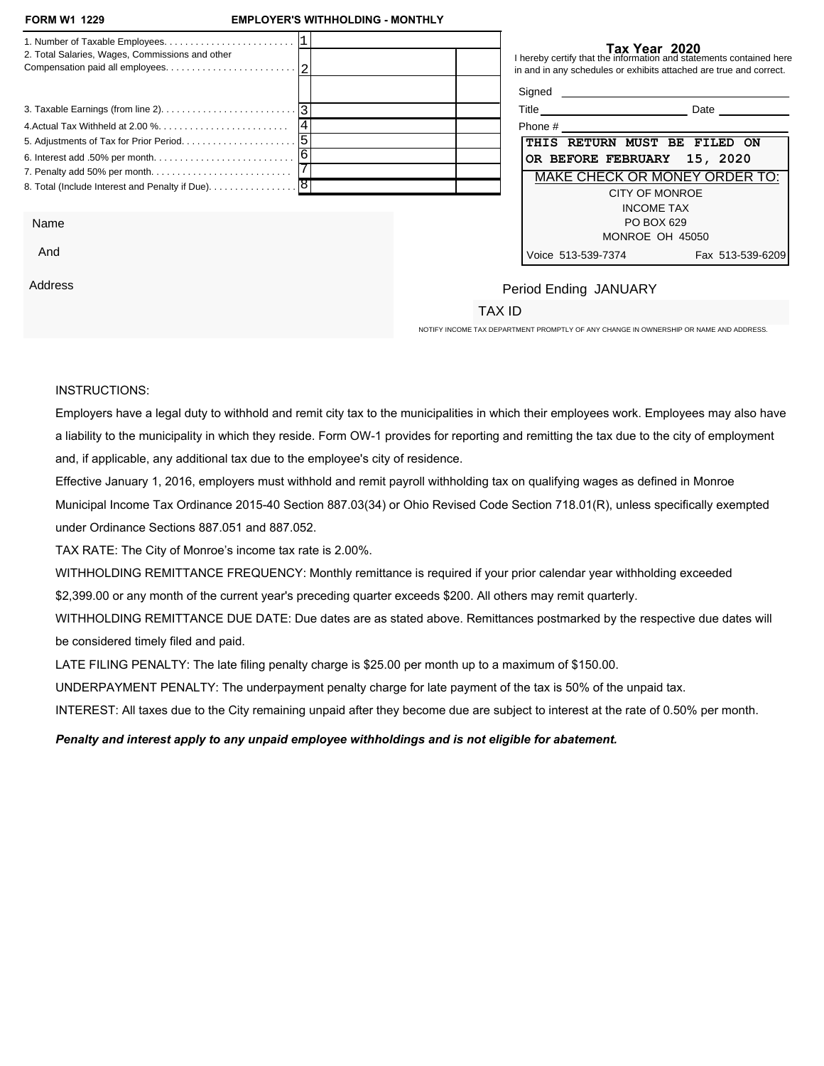| <b>FORM W1 1229</b>                               | <b>EMPLOYER'S WITHHOLDING - MONTHLY</b>                                                    |                                        | Tax Year 2021      |                                                                                                                                           |
|---------------------------------------------------|--------------------------------------------------------------------------------------------|----------------------------------------|--------------------|-------------------------------------------------------------------------------------------------------------------------------------------|
| 2. Total Salaries, Wages, Commissions and other   | 1. Number of Taxable Employees. $\ldots \ldots \ldots \ldots \ldots \ldots \ldots \quad 1$ |                                        |                    | I hereby certify that the information and statements contained here<br>in and in any schedules or exhibits attached are true and correct. |
|                                                   |                                                                                            |                                        |                    |                                                                                                                                           |
|                                                   |                                                                                            |                                        |                    |                                                                                                                                           |
|                                                   |                                                                                            |                                        |                    |                                                                                                                                           |
| 8. Total (Include Interest and Penalty if Due). 8 |                                                                                            |                                        |                    | DUE ON OR BEFORE<br><b>FEBRUARY 15, 2021</b>                                                                                              |
| <b>Business Name &amp; Address</b>                |                                                                                            | <b>Period Ending</b><br><b>JANUARY</b> |                    | MAKE CHECK OR MONEY ORDER TO:<br><b>CITY OF MONROE</b><br><b>INCOME TAX</b><br>PO BOX 629<br>MONROE OH 45050                              |
|                                                   | NOTIFY INCOME TAX DEPARTMENT PROMPTLY OF ANY CHANGE IN OWNERSHIP OR NAME AND ADDRESS.      | <b>TAX ID</b>                          | Voice 513-539-7374 | Fax 513-539-6209                                                                                                                          |

## INSTRUCTIONS:

Employers have a legal duty to withhold and remit city tax to the municipalities in which their employees work. Employees may also have a liability to the municipality in which they reside. Form OW-1 provides for reporting and remitting the tax due to the city of employment and, if applicable, any additional tax due to the employee's city of residence.

Effective January 1, 2016, employers must withhold and remit payroll withholding tax on qualifying wages as defined in Monroe Municipal Income Tax Ordinance 2015-40 Section 887.03(34) or Ohio Revised Code Section 718.01(R), unless specifically exempted under Ordinance Sections 887.051 and 887.052.

TAX RATE: The City of Monroe's income tax rate is 2.00%.

NON-FILING PENALTY: \$25.00 per month up to a maximum of \$150.00.

LATE PAYMENT PENALTY: 50% of the unpaid withholding tax.

INTEREST: 5% per year or 0.42% per month.

*Penalty and interest apply to any unpaid employee withholdings and is not eligible for abatement.*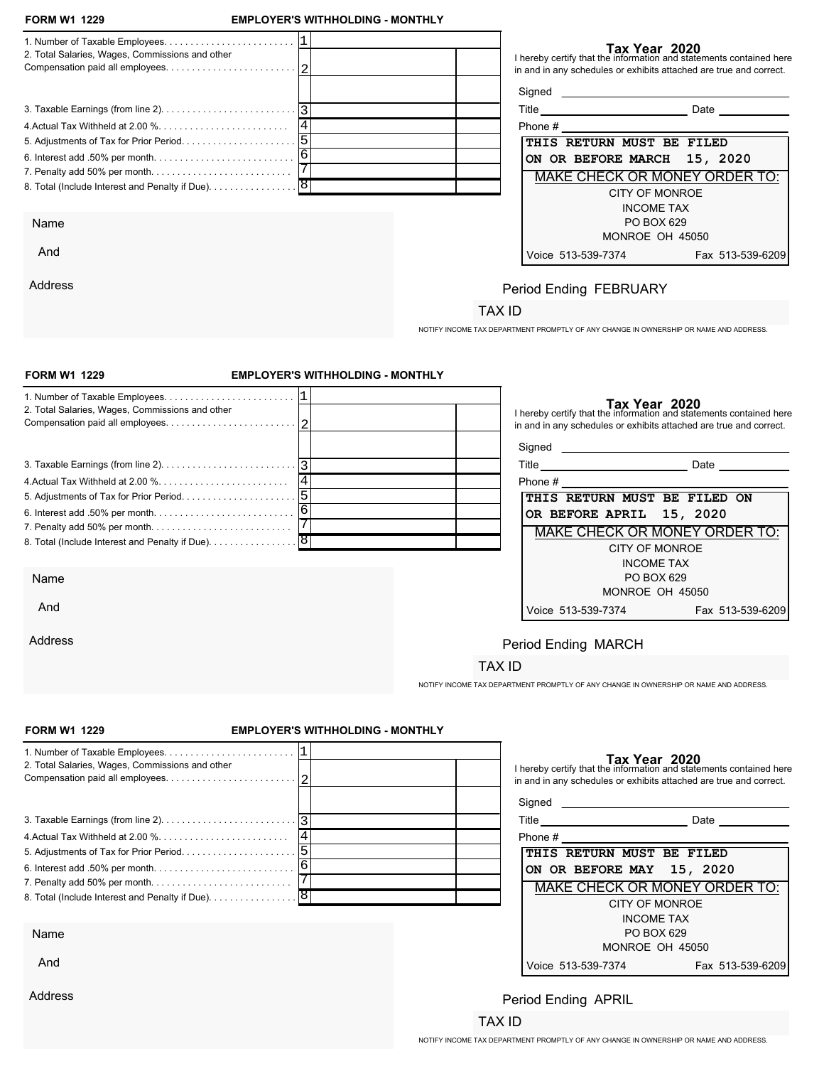| <b>FORM W1 1229</b>                                                                   | <b>EMPLOYER'S WITHHOLDING - MONTHLY</b> |                                         | Tax Year 2021                                                                                                                             |  |
|---------------------------------------------------------------------------------------|-----------------------------------------|-----------------------------------------|-------------------------------------------------------------------------------------------------------------------------------------------|--|
| 2. Total Salaries, Wages, Commissions and other                                       |                                         |                                         | I hereby certify that the information and statements contained here<br>in and in any schedules or exhibits attached are true and correct. |  |
|                                                                                       |                                         |                                         |                                                                                                                                           |  |
|                                                                                       |                                         |                                         |                                                                                                                                           |  |
|                                                                                       |                                         |                                         |                                                                                                                                           |  |
|                                                                                       |                                         |                                         |                                                                                                                                           |  |
|                                                                                       |                                         |                                         | <b>DUE ON OR BEFORE</b>                                                                                                                   |  |
|                                                                                       |                                         |                                         | <b>MARCH 15, 2021</b>                                                                                                                     |  |
| <b>Business Name &amp; Address</b>                                                    |                                         |                                         | MAKE CHECK OR MONEY ORDER TO:                                                                                                             |  |
|                                                                                       |                                         | <b>Period Ending</b><br><b>FEBRUARY</b> | <b>CITY OF MONROE</b><br><b>INCOME TAX</b><br>PO BOX 629<br>MONROE OH 45050                                                               |  |
|                                                                                       |                                         |                                         | Voice 513-539-7374<br>Fax 513-539-6209                                                                                                    |  |
| NOTIFY INCOME TAX DEPARTMENT PROMPTLY OF ANY CHANGE IN OWNERSHIP OR NAME AND ADDRESS. |                                         | <b>TAX ID</b>                           |                                                                                                                                           |  |
| <b>FORM W1 1229</b>                                                                   | <b>EMPLOYER'S WITHHOLDING - MONTHLY</b> |                                         | Tax Year 2021                                                                                                                             |  |
|                                                                                       |                                         |                                         | I hereby certify that the information and statements contained here                                                                       |  |
| 2. Total Salaries, Wages, Commissions and other                                       |                                         |                                         | in and in any schedules or exhibits attached are true and correct.                                                                        |  |
|                                                                                       |                                         |                                         |                                                                                                                                           |  |
|                                                                                       |                                         |                                         |                                                                                                                                           |  |
|                                                                                       |                                         |                                         |                                                                                                                                           |  |
|                                                                                       |                                         |                                         |                                                                                                                                           |  |
|                                                                                       |                                         |                                         | <b>DUE ON OR BEFORE</b>                                                                                                                   |  |
|                                                                                       |                                         |                                         | <b>APRIL 15, 2021</b>                                                                                                                     |  |
|                                                                                       |                                         |                                         |                                                                                                                                           |  |
| <b>Business Name &amp; Address</b>                                                    |                                         |                                         | MAKE CHECK OR MONEY ORDER TO:                                                                                                             |  |
|                                                                                       |                                         | <b>Period Ending</b><br><b>MARCH</b>    | <b>CITY OF MONROE</b>                                                                                                                     |  |
|                                                                                       |                                         |                                         | <b>INCOME TAX</b>                                                                                                                         |  |
|                                                                                       |                                         |                                         | PO BOX 629<br>MONROE OH 45050                                                                                                             |  |
|                                                                                       |                                         |                                         | Voice 513-539-7374<br>Fax 513-539-6209                                                                                                    |  |
|                                                                                       |                                         |                                         |                                                                                                                                           |  |
| NOTIFY INCOME TAX DEPARTMENT PROMPTLY OF ANY CHANGE IN OWNERSHIP OR NAME AND ADDRESS. |                                         | <b>TAX ID</b>                           |                                                                                                                                           |  |
| <b>FORM W1 1229</b>                                                                   | <b>EMPLOYER'S WITHHOLDING - MONTHLY</b> |                                         | Tax Year 2021                                                                                                                             |  |
|                                                                                       |                                         |                                         | I hereby certify that the information and statements contained here                                                                       |  |
| 2. Total Salaries, Wages, Commissions and other                                       |                                         |                                         | in and in any schedules or exhibits attached are true and correct.                                                                        |  |
|                                                                                       |                                         |                                         |                                                                                                                                           |  |
|                                                                                       |                                         |                                         |                                                                                                                                           |  |
|                                                                                       |                                         |                                         |                                                                                                                                           |  |
|                                                                                       |                                         |                                         |                                                                                                                                           |  |
|                                                                                       |                                         |                                         |                                                                                                                                           |  |
|                                                                                       |                                         |                                         | <b>DUE ON OR BEFORE</b>                                                                                                                   |  |
|                                                                                       |                                         |                                         | MAY 15, 2021                                                                                                                              |  |
| <b>Business Name &amp; Address</b>                                                    |                                         |                                         | MAKE CHECK OR MONEY ORDER TO:                                                                                                             |  |
|                                                                                       |                                         | <b>Period Ending</b>                    |                                                                                                                                           |  |
|                                                                                       |                                         | <b>APRIL</b>                            | <b>CITY OF MONROE</b>                                                                                                                     |  |
|                                                                                       |                                         |                                         | <b>INCOME TAX</b><br>PO BOX 629                                                                                                           |  |
|                                                                                       |                                         |                                         | MONROE OH 45050                                                                                                                           |  |
|                                                                                       |                                         |                                         | Voice 513-539-7374<br>Fax 513-539-6209                                                                                                    |  |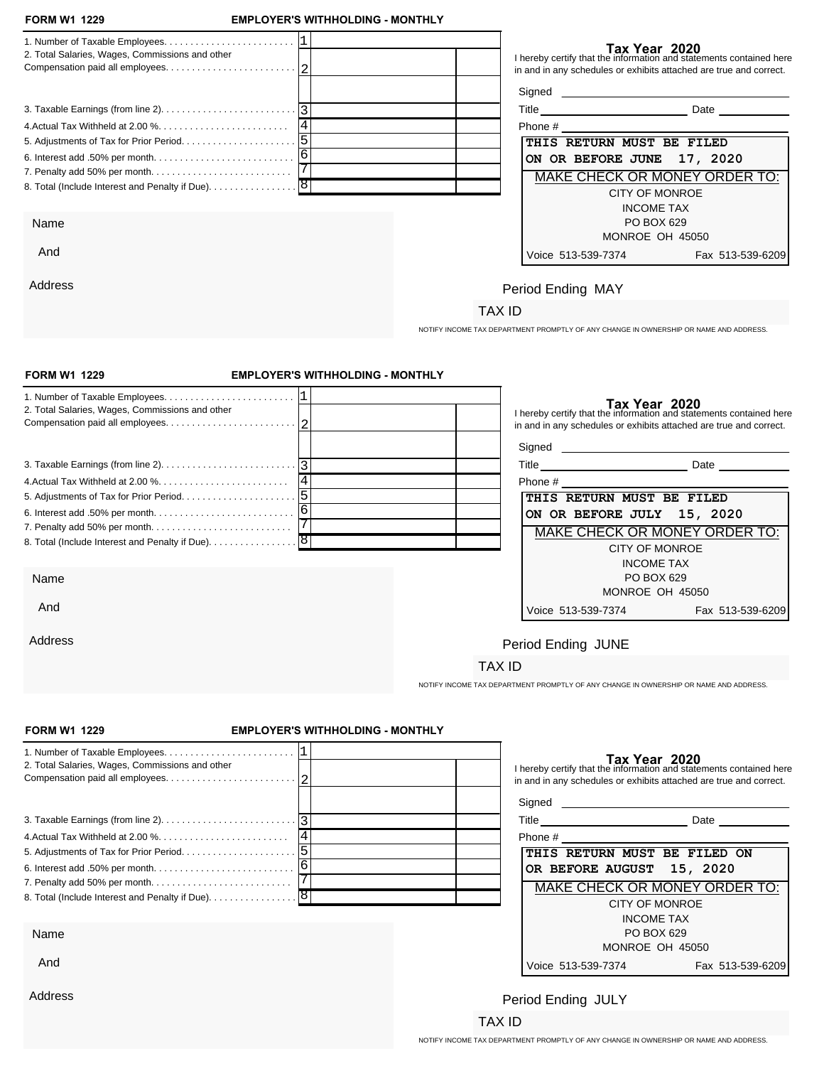| <b>FORM W1 1229</b>                                                                        | <b>EMPLOYER'S WITHHOLDING - MONTHLY</b> |                      | Tax Year 2021                                                                                                                             |                  |
|--------------------------------------------------------------------------------------------|-----------------------------------------|----------------------|-------------------------------------------------------------------------------------------------------------------------------------------|------------------|
| 1. Number of Taxable Employees. $\ldots \ldots \ldots \ldots \ldots \ldots \ldots \quad 1$ |                                         |                      | I hereby certify that the information and statements contained here                                                                       |                  |
| 2. Total Salaries, Wages, Commissions and other                                            |                                         |                      | in and in any schedules or exhibits attached are true and correct.                                                                        |                  |
|                                                                                            |                                         |                      |                                                                                                                                           |                  |
|                                                                                            |                                         |                      |                                                                                                                                           |                  |
|                                                                                            |                                         |                      |                                                                                                                                           |                  |
|                                                                                            |                                         |                      |                                                                                                                                           |                  |
|                                                                                            |                                         |                      |                                                                                                                                           |                  |
|                                                                                            |                                         |                      | <b>DUE ON OR BEFORE</b>                                                                                                                   |                  |
|                                                                                            |                                         |                      | <b>JUNE 15, 2021</b>                                                                                                                      |                  |
|                                                                                            |                                         |                      |                                                                                                                                           |                  |
| <b>Business Name &amp; Address</b>                                                         |                                         |                      | MAKE CHECK OR MONEY ORDER TO:                                                                                                             |                  |
|                                                                                            |                                         | <b>Period Ending</b> | <b>CITY OF MONROE</b>                                                                                                                     |                  |
|                                                                                            |                                         | <b>MAY</b>           | <b>INCOME TAX</b>                                                                                                                         |                  |
|                                                                                            |                                         |                      | PO BOX 629                                                                                                                                |                  |
|                                                                                            |                                         |                      | MONROE OH 45050                                                                                                                           |                  |
|                                                                                            |                                         |                      | Voice 513-539-7374                                                                                                                        | Fax 513-539-6209 |
|                                                                                            |                                         |                      |                                                                                                                                           |                  |
| NOTIFY INCOME TAX DEPARTMENT PROMPTLY OF ANY CHANGE IN OWNERSHIP OR NAME AND ADDRESS.      |                                         | <b>TAX ID</b>        |                                                                                                                                           |                  |
|                                                                                            |                                         |                      |                                                                                                                                           |                  |
| <b>FORM W1 1229</b>                                                                        | <b>EMPLOYER'S WITHHOLDING - MONTHLY</b> |                      | Tax Year 2021                                                                                                                             |                  |
|                                                                                            |                                         |                      | I hereby certify that the information and statements contained here                                                                       |                  |
| 2. Total Salaries, Wages, Commissions and other                                            |                                         |                      | in and in any schedules or exhibits attached are true and correct.                                                                        |                  |
|                                                                                            |                                         |                      |                                                                                                                                           |                  |
|                                                                                            |                                         |                      |                                                                                                                                           |                  |
|                                                                                            |                                         |                      |                                                                                                                                           |                  |
|                                                                                            |                                         |                      |                                                                                                                                           |                  |
|                                                                                            |                                         |                      |                                                                                                                                           |                  |
|                                                                                            |                                         |                      |                                                                                                                                           |                  |
|                                                                                            |                                         |                      |                                                                                                                                           |                  |
|                                                                                            |                                         |                      | <b>DUE ON OR BEFORE</b>                                                                                                                   |                  |
| 8. Total (Include Interest and Penalty if Due). 8                                          |                                         |                      | <b>JULY 15, 2021</b>                                                                                                                      |                  |
| <b>Business Name &amp; Address</b>                                                         |                                         |                      | MAKE CHECK OR MONEY ORDER TO:                                                                                                             |                  |
|                                                                                            |                                         | <b>Period Ending</b> |                                                                                                                                           |                  |
|                                                                                            |                                         | <b>JUNE</b>          | <b>CITY OF MONROE</b>                                                                                                                     |                  |
|                                                                                            |                                         |                      | <b>INCOME TAX</b><br>PO BOX 629                                                                                                           |                  |
|                                                                                            |                                         |                      | MONROE OH 45050                                                                                                                           |                  |
|                                                                                            |                                         |                      | Voice 513-539-7374                                                                                                                        | Fax 513-539-6209 |
|                                                                                            |                                         |                      |                                                                                                                                           |                  |
|                                                                                            |                                         | <b>TAX ID</b>        |                                                                                                                                           |                  |
| NOTIFY INCOME TAX DEPARTMENT PROMPTLY OF ANY CHANGE IN OWNERSHIP OR NAME AND ADDRESS.      |                                         |                      |                                                                                                                                           |                  |
|                                                                                            |                                         |                      |                                                                                                                                           |                  |
| <b>FORM W1 1229</b>                                                                        | <b>EMPLOYER'S WITHHOLDING - MONTHLY</b> |                      | Tax Year 2021                                                                                                                             |                  |
|                                                                                            |                                         |                      | I hereby certify that the information and statements contained here<br>in and in any schedules or exhibits attached are true and correct. |                  |
| 2. Total Salaries, Wages, Commissions and other                                            |                                         |                      |                                                                                                                                           |                  |
|                                                                                            |                                         |                      |                                                                                                                                           |                  |
|                                                                                            |                                         |                      |                                                                                                                                           |                  |
|                                                                                            |                                         |                      |                                                                                                                                           |                  |
|                                                                                            |                                         |                      |                                                                                                                                           |                  |
|                                                                                            |                                         |                      |                                                                                                                                           |                  |
|                                                                                            |                                         |                      | <b>DUE ON OR BEFORE</b>                                                                                                                   |                  |
| 8. Total (Include Interest and Penalty if Due). 8                                          |                                         |                      | <b>AUGUST 15, 2021</b>                                                                                                                    |                  |
|                                                                                            |                                         |                      |                                                                                                                                           |                  |
| <b>Business Name &amp; Address</b>                                                         |                                         |                      | MAKE CHECK OR MONEY ORDER TO:                                                                                                             |                  |
|                                                                                            |                                         | <b>Period Ending</b> | <b>CITY OF MONROE</b>                                                                                                                     |                  |
|                                                                                            |                                         | <b>JULY</b>          | <b>INCOME TAX</b>                                                                                                                         |                  |
|                                                                                            |                                         |                      | PO BOX 629                                                                                                                                |                  |
|                                                                                            |                                         |                      | MONROE OH 45050<br>Voice 513-539-7374                                                                                                     | Fax 513-539-6209 |